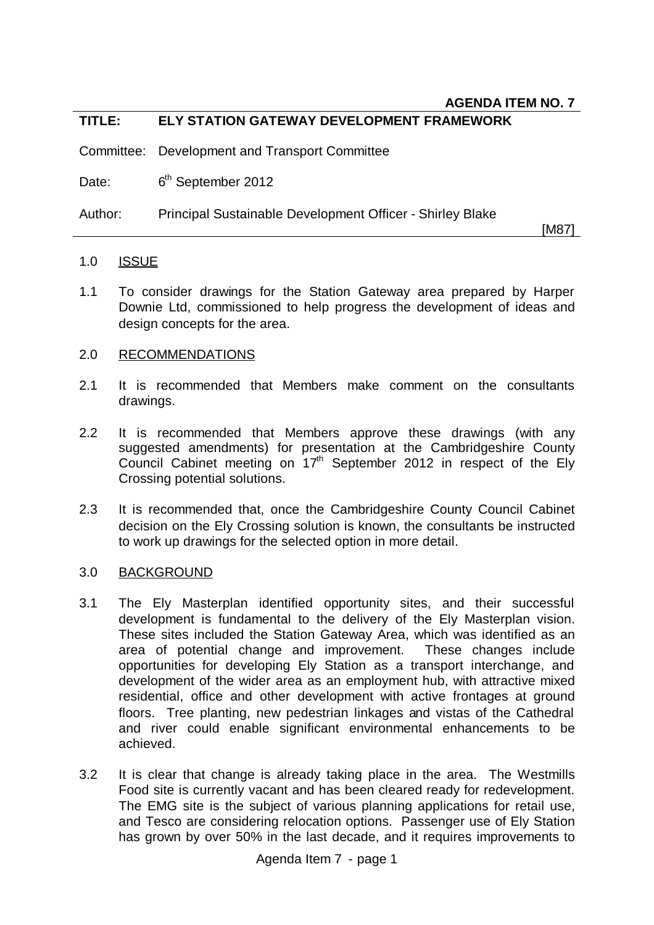## **TITLE: ELY STATION GATEWAY DEVELOPMENT FRAMEWORK**

Committee: Development and Transport Committee

Date: 6<sup>th</sup> September 2012

Author: Principal Sustainable Development Officer - Shirley Blake

[M87]

#### 1.0 ISSUE

1.1 To consider drawings for the Station Gateway area prepared by Harper Downie Ltd, commissioned to help progress the development of ideas and design concepts for the area.

### 2.0 RECOMMENDATIONS

- 2.1 It is recommended that Members make comment on the consultants drawings.
- 2.2 It is recommended that Members approve these drawings (with any suggested amendments) for presentation at the Cambridgeshire County Council Cabinet meeting on  $17<sup>th</sup>$  September 2012 in respect of the Ely Crossing potential solutions.
- 2.3 It is recommended that, once the Cambridgeshire County Council Cabinet decision on the Ely Crossing solution is known, the consultants be instructed to work up drawings for the selected option in more detail.

### 3.0 BACKGROUND

- 3.1 The Ely Masterplan identified opportunity sites, and their successful development is fundamental to the delivery of the Ely Masterplan vision. These sites included the Station Gateway Area, which was identified as an area of potential change and improvement. These changes include opportunities for developing Ely Station as a transport interchange, and development of the wider area as an employment hub, with attractive mixed residential, office and other development with active frontages at ground floors. Tree planting, new pedestrian linkages and vistas of the Cathedral and river could enable significant environmental enhancements to be achieved.
- 3.2 It is clear that change is already taking place in the area. The Westmills Food site is currently vacant and has been cleared ready for redevelopment. The EMG site is the subject of various planning applications for retail use, and Tesco are considering relocation options. Passenger use of Ely Station has grown by over 50% in the last decade, and it requires improvements to